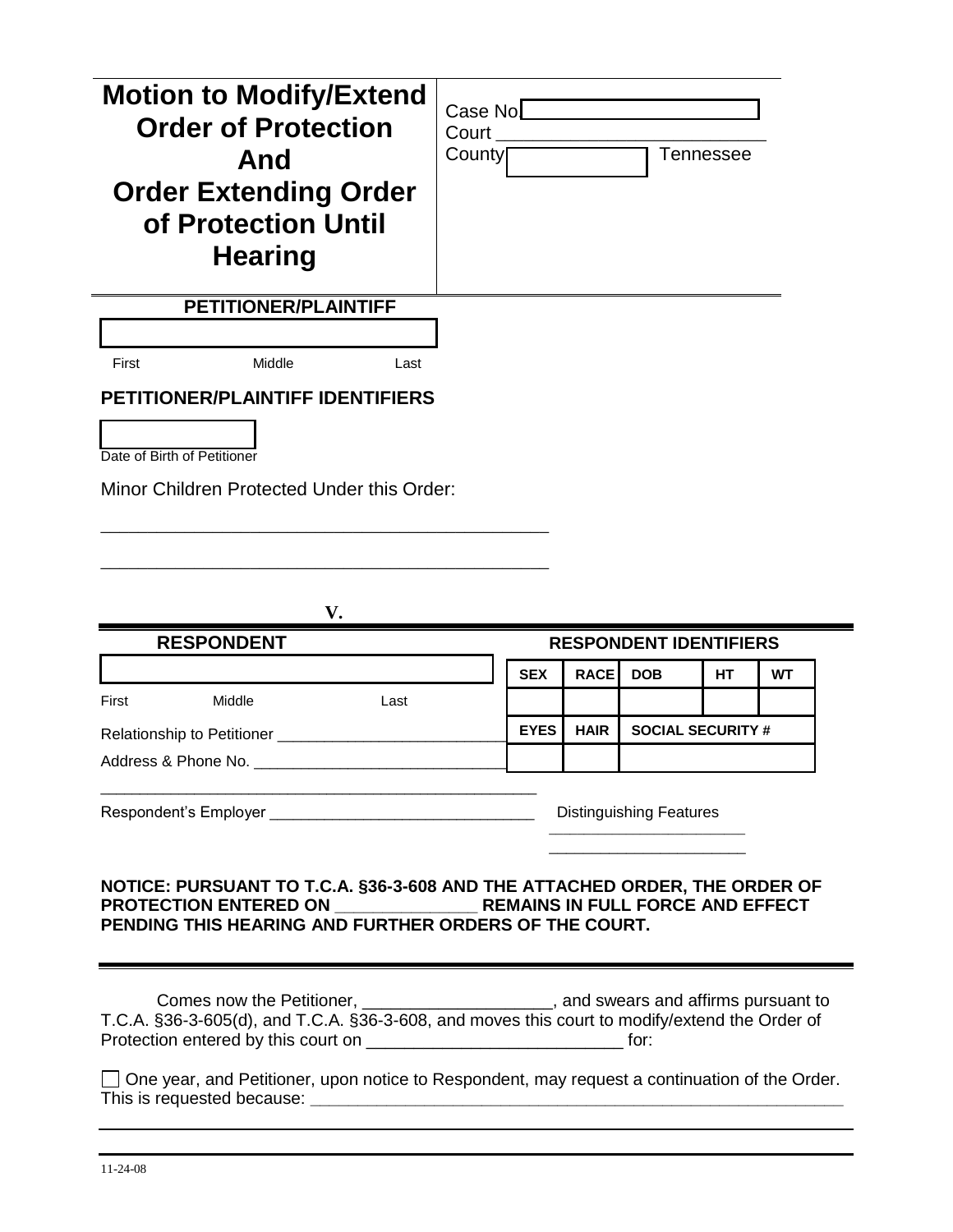| <b>Motion to Modify/Extend</b><br><b>Order of Protection</b><br>And<br><b>Order Extending Order</b><br>of Protection Until<br><b>Hearing</b> | Case No<br>Court<br>County |             |             |                               | <b>Tennessee</b>         |    |
|----------------------------------------------------------------------------------------------------------------------------------------------|----------------------------|-------------|-------------|-------------------------------|--------------------------|----|
| <b>PETITIONER/PLAINTIFF</b>                                                                                                                  |                            |             |             |                               |                          |    |
|                                                                                                                                              |                            |             |             |                               |                          |    |
| First<br>Middle<br>Last                                                                                                                      |                            |             |             |                               |                          |    |
| <b>PETITIONER/PLAINTIFF IDENTIFIERS</b>                                                                                                      |                            |             |             |                               |                          |    |
| Date of Birth of Petitioner                                                                                                                  |                            |             |             |                               |                          |    |
| Minor Children Protected Under this Order:                                                                                                   |                            |             |             |                               |                          |    |
|                                                                                                                                              |                            |             |             |                               |                          |    |
|                                                                                                                                              |                            |             |             |                               |                          |    |
|                                                                                                                                              |                            |             |             |                               |                          |    |
|                                                                                                                                              |                            |             |             |                               |                          |    |
| V.                                                                                                                                           |                            |             |             |                               |                          |    |
| <b>RESPONDENT</b>                                                                                                                            |                            |             |             | <b>RESPONDENT IDENTIFIERS</b> |                          |    |
|                                                                                                                                              |                            | <b>SEX</b>  | <b>RACE</b> | <b>DOB</b>                    | HТ                       | WТ |
| First<br>Middle<br>Last                                                                                                                      |                            |             |             |                               |                          |    |
| Relationship to Petitioner ________                                                                                                          |                            | <b>EYES</b> | <b>HAIR</b> |                               | <b>SOCIAL SECURITY #</b> |    |
| Address & Phone No. _                                                                                                                        |                            |             |             |                               |                          |    |
|                                                                                                                                              |                            |             |             |                               |                          |    |
|                                                                                                                                              |                            |             |             |                               |                          |    |
| NOTICE: PURSUANT TO T.C.A. §36-3-608 AND THE ATTACHED ORDER, THE ORDER OF<br>PENDING THIS HEARING AND FURTHER ORDERS OF THE COURT.           |                            |             |             |                               |                          |    |

One year, and Petitioner, upon notice to Respondent, may request a continuation of the Order. This is requested because: **\_\_\_\_\_\_\_\_\_\_\_\_\_\_\_\_\_\_\_\_\_\_\_\_\_\_\_\_\_\_\_\_\_\_\_\_\_\_\_\_\_\_\_\_\_\_\_\_\_\_\_\_\_\_\_\_**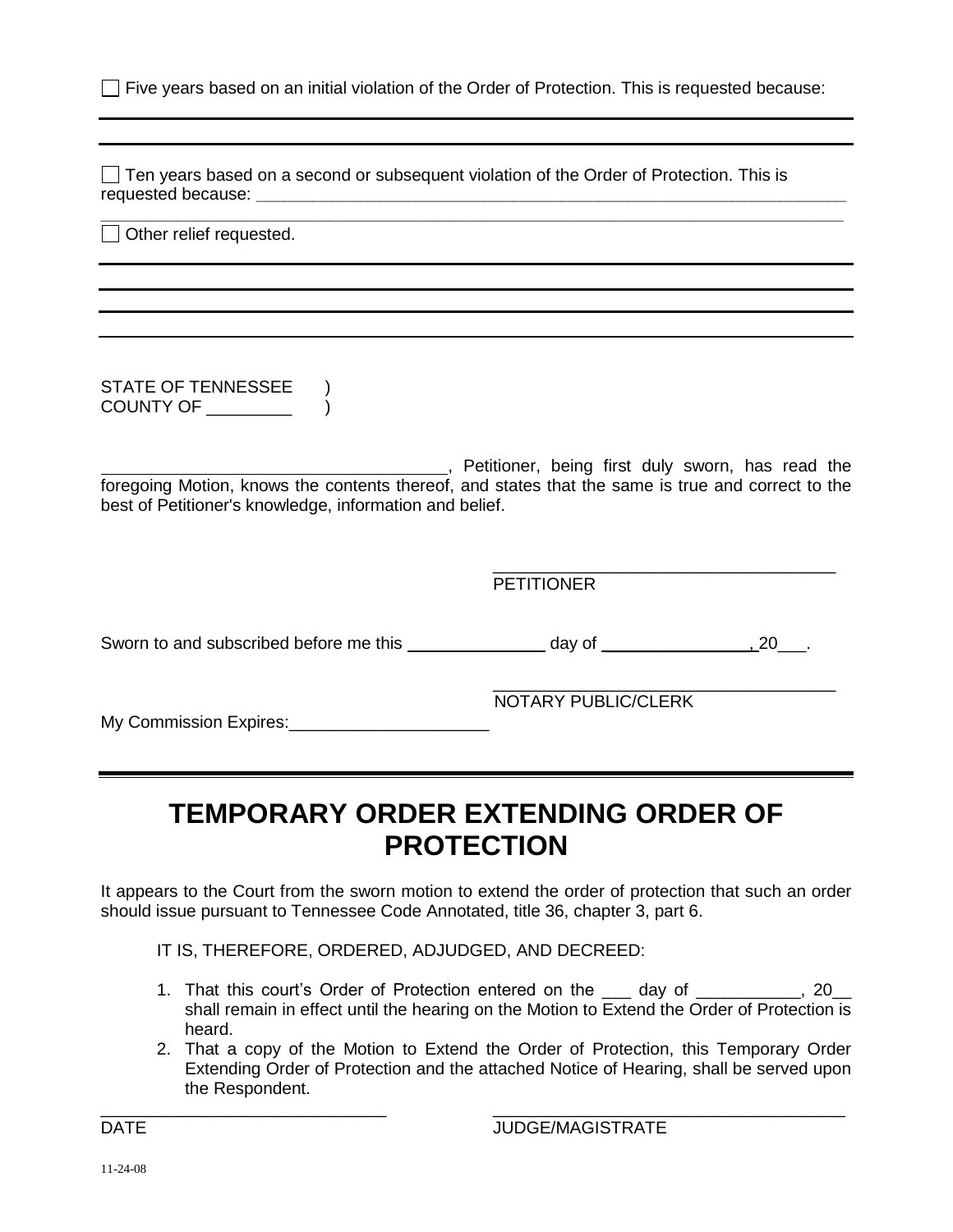|  |  |  |  |  |  |  |  | □ Five years based on an initial violation of the Order of Protection. This is requested because: |  |
|--|--|--|--|--|--|--|--|---------------------------------------------------------------------------------------------------|--|
|--|--|--|--|--|--|--|--|---------------------------------------------------------------------------------------------------|--|

 $\Box$  Ten years based on a second or subsequent violation of the Order of Protection. This is requested because: **\_\_\_\_\_\_\_\_\_\_\_\_\_\_\_\_\_\_\_\_\_\_\_\_\_\_\_\_\_\_\_\_\_\_\_\_\_\_\_\_\_\_\_\_\_\_\_\_\_\_\_\_\_\_\_\_\_\_\_\_\_\_**

**\_\_\_\_\_\_\_\_\_\_\_\_\_\_\_\_\_\_\_\_\_\_\_\_\_\_\_\_\_\_\_\_\_\_\_\_\_\_\_\_\_\_\_\_\_\_\_\_\_\_\_\_\_\_\_\_\_\_\_\_\_\_\_\_\_\_\_\_\_\_\_\_\_\_\_\_\_\_** Other relief requested.

STATE OF TENNESSEE ) COUNTY OF \_\_\_\_\_\_\_\_\_ )

**EXECUTE:** Petitioner, being first duly sworn, has read the foregoing Motion, knows the contents thereof, and states that the same is true and correct to the best of Petitioner's knowledge, information and belief.

PETITIONER

Sworn to and subscribed before me this day of day of the same control of the set of the set of the set of the s

My Commission Expires: \_\_\_\_\_\_\_\_\_\_\_\_\_\_\_\_\_\_\_\_\_\_\_\_\_

NOTARY PUBLIC/CLERK

\_\_\_\_\_\_\_\_\_\_\_\_\_\_\_\_\_\_\_\_\_\_\_\_\_\_\_\_\_\_\_\_\_\_\_\_

\_\_\_\_\_\_\_\_\_\_\_\_\_\_\_\_\_\_\_\_\_\_\_\_\_\_\_\_\_\_\_\_\_\_\_\_

# **TEMPORARY ORDER EXTENDING ORDER OF PROTECTION**

It appears to the Court from the sworn motion to extend the order of protection that such an order should issue pursuant to Tennessee Code Annotated, title 36, chapter 3, part 6.

IT IS, THEREFORE, ORDERED, ADJUDGED, AND DECREED:

- 1. That this court's Order of Protection entered on the \_\_\_ day of \_\_\_\_\_\_\_\_\_\_\_, 20\_\_ shall remain in effect until the hearing on the Motion to Extend the Order of Protection is heard.
- 2. That a copy of the Motion to Extend the Order of Protection, this Temporary Order Extending Order of Protection and the attached Notice of Hearing, shall be served upon the Respondent.

\_\_\_\_\_\_\_\_\_\_\_\_\_\_\_\_\_\_\_\_\_\_\_\_\_\_\_\_\_\_ \_\_\_\_\_\_\_\_\_\_\_\_\_\_\_\_\_\_\_\_\_\_\_\_\_\_\_\_\_\_\_\_\_\_\_\_\_